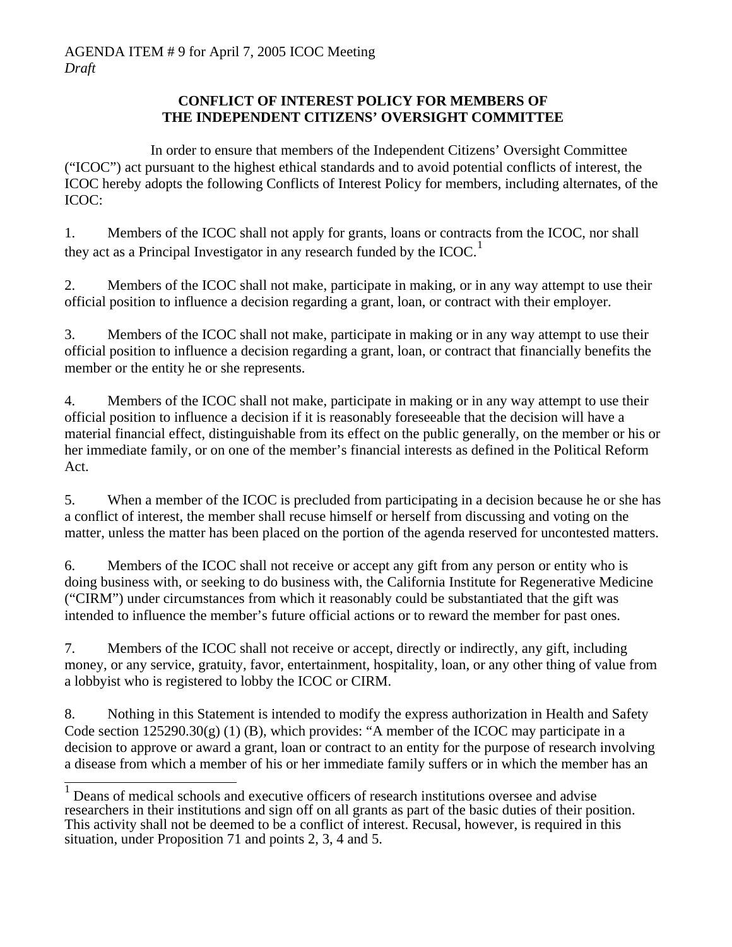## **CONFLICT OF INTEREST POLICY FOR MEMBERS OF THE INDEPENDENT CITIZENS' OVERSIGHT COMMITTEE**

 In order to ensure that members of the Independent Citizens' Oversight Committee ("ICOC") act pursuant to the highest ethical standards and to avoid potential conflicts of interest, the ICOC hereby adopts the following Conflicts of Interest Policy for members, including alternates, of the ICOC:

1. Members of the ICOC shall not apply for grants, loans or contracts from the ICOC, nor shall they act as a Principal Investigator in any research funded by the ICOC.<sup>[1](#page-0-0)</sup>

2. Members of the ICOC shall not make, participate in making, or in any way attempt to use their official position to influence a decision regarding a grant, loan, or contract with their employer.

3. Members of the ICOC shall not make, participate in making or in any way attempt to use their official position to influence a decision regarding a grant, loan, or contract that financially benefits the member or the entity he or she represents.

4. Members of the ICOC shall not make, participate in making or in any way attempt to use their official position to influence a decision if it is reasonably foreseeable that the decision will have a material financial effect, distinguishable from its effect on the public generally, on the member or his or her immediate family, or on one of the member's financial interests as defined in the Political Reform Act.

5. When a member of the ICOC is precluded from participating in a decision because he or she has a conflict of interest, the member shall recuse himself or herself from discussing and voting on the matter, unless the matter has been placed on the portion of the agenda reserved for uncontested matters.

6. Members of the ICOC shall not receive or accept any gift from any person or entity who is doing business with, or seeking to do business with, the California Institute for Regenerative Medicine ("CIRM") under circumstances from which it reasonably could be substantiated that the gift was intended to influence the member's future official actions or to reward the member for past ones.

7. Members of the ICOC shall not receive or accept, directly or indirectly, any gift, including money, or any service, gratuity, favor, entertainment, hospitality, loan, or any other thing of value from a lobbyist who is registered to lobby the ICOC or CIRM.

8. Nothing in this Statement is intended to modify the express authorization in Health and Safety Code section 125290.30(g) (1) (B), which provides: "A member of the ICOC may participate in a decision to approve or award a grant, loan or contract to an entity for the purpose of research involving a disease from which a member of his or her immediate family suffers or in which the member has an

<span id="page-0-0"></span> <sup>1</sup> Deans of medical schools and executive officers of research institutions oversee and advise researchers in their institutions and sign off on all grants as part of the basic duties of their position. This activity shall not be deemed to be a conflict of interest. Recusal, however, is required in this situation, under Proposition 71 and points 2, 3, 4 and 5.